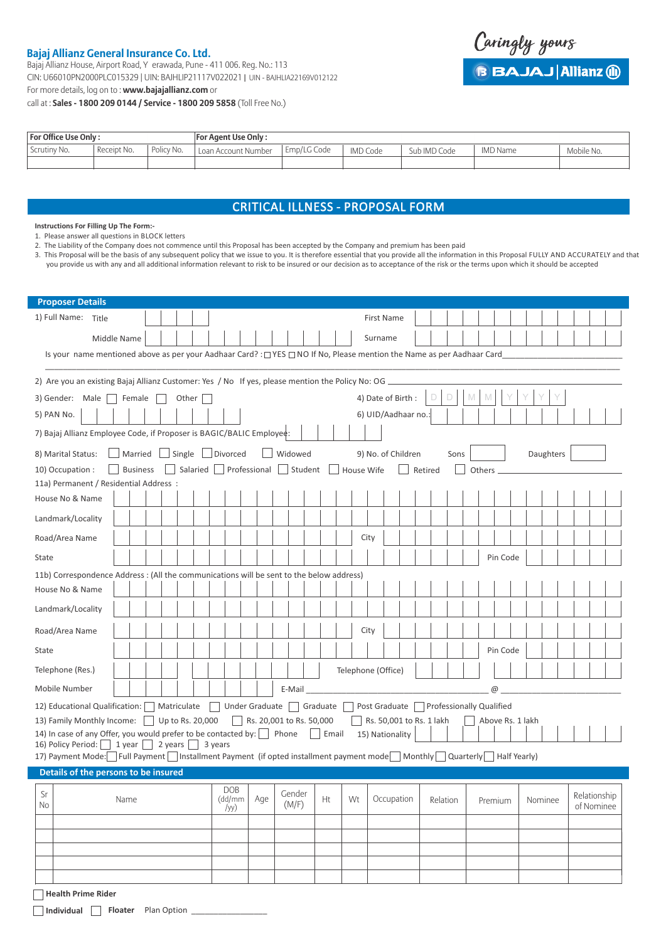## **Bajaj Allianz General Insurance Co. Ltd.**

Bajaj Allianz House, Airport Road, Y erawada, Pune - 411 006. Reg. No.: 113 CIN: U66010PN2000PLC015329 | UIN: BAJHLIP21117V022021 | UIN - BAJHLIA22169V012122

For more details, log on to : **www.bajajallianz.com** or

call at : **Sales - 1800 209 0144 / Service - 1800 209 5858** (Toll Free No.)



| For Office Use Only : |             | <b>For Agent Use Only:</b> |                     |             |          |              |                 |            |
|-----------------------|-------------|----------------------------|---------------------|-------------|----------|--------------|-----------------|------------|
| Scrutiny No.          | Receipt No. | Policy No.                 | Loan Account Number | Emp/LG Code | IMD Code | Sub IMD Code | <b>IMD Name</b> | Mobile No. |
|                       |             |                            |                     |             |          |              |                 |            |

## CRITICAL ILLNESS - PROPOSAL FORM

**Instructions For Filling Up The Form:-**

1. Please answer all questions in BLOCK letters

2. The Liability of the Company does not commence until this Proposal has been accepted by the Company and premium has been paid

3. This Proposal will be the basis of any subsequent policy that we issue to you. It is therefore essential that you provide all the information in this Proposal FULLY AND ACCURATELY and that you provide us with any and all additional information relevant to risk to be insured or our decision as to acceptance of the risk or the terms upon which it should be accepted

| <b>Proposer Details</b>                                                                                                                                              |  |  |  |  |  |  |  |
|----------------------------------------------------------------------------------------------------------------------------------------------------------------------|--|--|--|--|--|--|--|
| 1) Full Name: Title<br><b>First Name</b>                                                                                                                             |  |  |  |  |  |  |  |
| Middle Name<br>Surname                                                                                                                                               |  |  |  |  |  |  |  |
| Is your name mentioned above as per your Aadhaar Card? : $\Box$ YES $\Box$ NO If No, Please mention the Name as per Aadhaar Card                                     |  |  |  |  |  |  |  |
|                                                                                                                                                                      |  |  |  |  |  |  |  |
| 2) Are you an existing Bajaj Allianz Customer: Yes / No If yes, please mention the Policy No: OG __<br>D                                                             |  |  |  |  |  |  |  |
| 4) Date of Birth:<br>D<br>3) Gender: Male     Female<br>Other                                                                                                        |  |  |  |  |  |  |  |
| 5) PAN No.<br>6) UID/Aadhaar no.:                                                                                                                                    |  |  |  |  |  |  |  |
| 7) Bajaj Allianz Employee Code, if Proposer is BAGIC/BALIC Employee:                                                                                                 |  |  |  |  |  |  |  |
| $\Box$ Single $\Box$ Divorced<br>Married<br>Widowed<br>8) Marital Status:<br>9) No. of Children<br>Daughters<br>Sons                                                 |  |  |  |  |  |  |  |
| Salaried   Professional<br>Student<br><b>Business</b><br>10) Occupation :<br>House Wife<br>Retired<br>Others                                                         |  |  |  |  |  |  |  |
| 11a) Permanent / Residential Address :                                                                                                                               |  |  |  |  |  |  |  |
| House No & Name                                                                                                                                                      |  |  |  |  |  |  |  |
| Landmark/Locality                                                                                                                                                    |  |  |  |  |  |  |  |
| City<br>Road/Area Name                                                                                                                                               |  |  |  |  |  |  |  |
| Pin Code<br>State                                                                                                                                                    |  |  |  |  |  |  |  |
| 11b) Correspondence Address : (All the communications will be sent to the below address)                                                                             |  |  |  |  |  |  |  |
| House No & Name                                                                                                                                                      |  |  |  |  |  |  |  |
| Landmark/Locality                                                                                                                                                    |  |  |  |  |  |  |  |
| Road/Area Name<br>City                                                                                                                                               |  |  |  |  |  |  |  |
| Pin Code<br>State                                                                                                                                                    |  |  |  |  |  |  |  |
| Telephone (Res.)<br>Telephone (Office)                                                                                                                               |  |  |  |  |  |  |  |
| Mobile Number<br>$^{\copyright}$<br>E-Mail                                                                                                                           |  |  |  |  |  |  |  |
| □ Under Graduate □ Graduate<br>Post Graduate □ Professionally Qualified<br>12) Educational Qualification:  <br>Matriculate                                           |  |  |  |  |  |  |  |
| Rs. 20,001 to Rs. 50,000<br>13) Family Monthly Income:     Up to Rs. 20,000<br>Rs. 50,001 to Rs. 1 lakh<br>Above Rs. 1 lakh                                          |  |  |  |  |  |  |  |
| 14) In case of any Offer, you would prefer to be contacted by: $\Box$ Phone $\Box$ Email<br>15) Nationality<br>16) Policy Period:     1 year     2 years     3 years |  |  |  |  |  |  |  |
| 17) Payment Mode: Full Payment Installment Payment (if opted installment payment mode Monthly Quarterly   Half Yearly                                                |  |  |  |  |  |  |  |
| Details of the persons to be insured                                                                                                                                 |  |  |  |  |  |  |  |
| <b>DOB</b><br>Sr<br>Gender<br>Relationship                                                                                                                           |  |  |  |  |  |  |  |
| Occupation<br>Wt<br>Relation<br>Name<br>(dd/mm   Age<br>Ht<br>Premium<br>Nominee<br>(M/F)<br>No<br>of Nominee<br>/yy)                                                |  |  |  |  |  |  |  |
|                                                                                                                                                                      |  |  |  |  |  |  |  |
|                                                                                                                                                                      |  |  |  |  |  |  |  |
|                                                                                                                                                                      |  |  |  |  |  |  |  |
|                                                                                                                                                                      |  |  |  |  |  |  |  |
| <b>Health Prime Rider</b>                                                                                                                                            |  |  |  |  |  |  |  |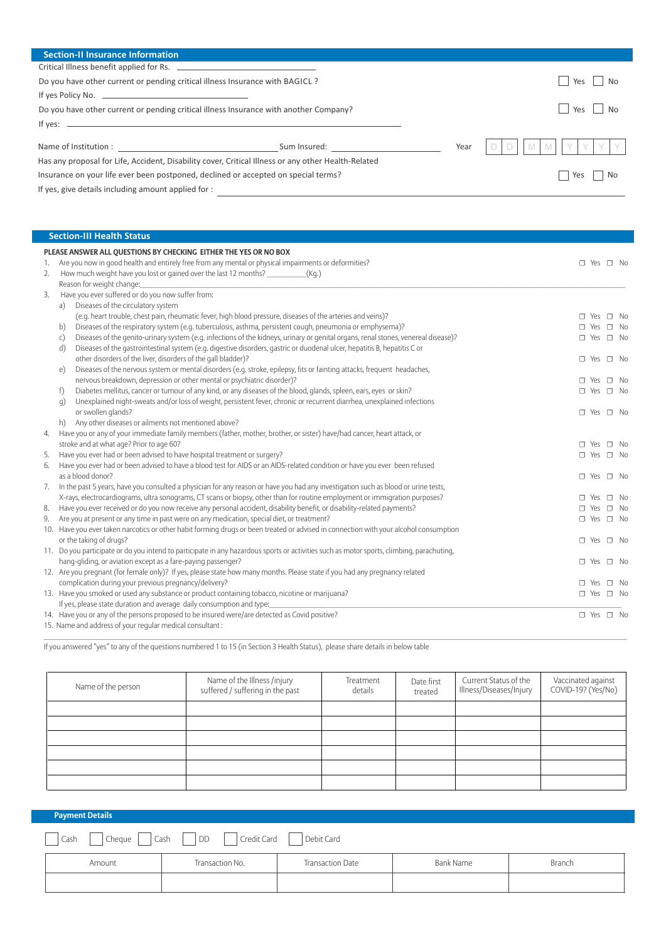| <b>Section-II Insurance Information</b>                                                             |                                      |      |           |
|-----------------------------------------------------------------------------------------------------|--------------------------------------|------|-----------|
| Critical Illness benefit applied for Rs.                                                            |                                      |      |           |
| Do you have other current or pending critical illness Insurance with BAGICL?                        |                                      |      | No<br>Yes |
| If yes Policy No. $\overline{\phantom{a} \phantom{a}}$                                              |                                      |      |           |
| Do you have other current or pending critical illness Insurance with another Company?               |                                      |      | Yes       |
| If yes: $\overline{\phantom{a}}$                                                                    |                                      |      |           |
|                                                                                                     | Sum Insured: The Common Sum Insured: | Year | $M$ $M$   |
| Has any proposal for Life, Accident, Disability cover, Critical Illness or any other Health-Related |                                      |      |           |
| Insurance on your life ever been postponed, declined or accepted on special terms?                  |                                      |      | No<br>Yes |
| If yes, give details including amount applied for :                                                 |                                      |      |           |

ı

|    | <b>Section-III Health Status</b>                                                                                                                   |                            |
|----|----------------------------------------------------------------------------------------------------------------------------------------------------|----------------------------|
|    | PLEASE ANSWER ALL QUESTIONS BY CHECKING EITHER THE YES OR NO BOX                                                                                   |                            |
| 1. | Are you now in good health and entirely free from any mental or physical impairments or deformities?                                               | $\Box$ Yes $\Box$ No       |
| 2. | How much weight have you lost or gained over the last 12 months? _____________(Kg.)                                                                |                            |
|    | Reason for weight change:                                                                                                                          |                            |
| 3. | Have you ever suffered or do you now suffer from:                                                                                                  |                            |
|    | a) Diseases of the circulatory system                                                                                                              |                            |
|    | (e.g. heart trouble, chest pain, rheumatic fever, high blood pressure, diseases of the arteries and veins)?                                        | $\Box$ Yes $\Box$ No       |
|    | Diseases of the respiratory system (e.g. tuberculosis, asthma, persistent cough, pneumonia or emphysema)?<br>b)                                    | $\square$ Yes $\square$ No |
|    | Diseases of the genito-urinary system (e.g. infections of the kidneys, urinary or genital organs, renal stones, venereal disease)?<br>$\mathsf{C}$ | $\square$ Yes $\square$ No |
|    | Diseases of the gastrointestinal system (e.g. digestive disorders, gastric or duodenal ulcer, hepatitis B, hepatitis C or<br>d)                    |                            |
|    | other disorders of the liver, disorders of the gall bladder)?                                                                                      | $\Box$ Yes $\Box$ No       |
|    | Diseases of the nervous system or mental disorders (e.g. stroke, epilepsy, fits or fainting attacks, frequent headaches,<br>$\epsilon$             |                            |
|    | nervous breakdown, depression or other mental or psychiatric disorder)?                                                                            | $\square$ Yes<br>$\Box$ No |
|    | Diabetes mellitus, cancer or tumour of any kind, or any diseases of the blood, glands, spleen, ears, eyes or skin?<br>f)                           | $\Box$ Yes $\Box$ No       |
|    | Unexplained night-sweats and/or loss of weight, persistent fever, chronic or recurrent diarrhea, unexplained infections<br>q)                      |                            |
|    | or swollen glands?                                                                                                                                 | $\Box$ Yes $\Box$ No       |
|    | Any other diseases or ailments not mentioned above?<br>h)                                                                                          |                            |
| 4. | Have you or any of your immediate family members (father, mother, brother, or sister) have/had cancer, heart attack, or                            |                            |
|    | stroke and at what age? Prior to age 60?                                                                                                           | $\Box$ Yes $\Box$ No       |
| 5. | Have you ever had or been advised to have hospital treatment or surgery?                                                                           | $\Box$ Yes $\Box$ No       |
| 6. | Have you ever had or been advised to have a blood test for AIDS or an AIDS-related condition or have you ever been refused                         |                            |
|    | as a blood donor?                                                                                                                                  | $\Box$ Yes $\Box$ No       |
| 7. | In the past 5 years, have you consulted a physician for any reason or have you had any investigation such as blood or urine tests,                 |                            |
|    | X-rays, electrocardiograms, ultra sonograms, CT scans or biopsy, other than for routine employment or immigration purposes?                        | $\Box$ Yes $\Box$ No       |
| 8. | Have you ever received or do you now receive any personal accident, disability benefit, or disability-related payments?                            | $\Box$ Yes $\Box$ No       |
| 9. | Are you at present or any time in past were on any medication, special diet, or treatment?                                                         | $\Box$ Yes $\Box$ No       |
|    | 10. Have you ever taken narcotics or other habit forming drugs or been treated or advised in connection with your alcohol consumption              |                            |
|    | or the taking of drugs?                                                                                                                            | $\Box$ Yes $\Box$ No       |
|    | 11. Do you participate or do you intend to participate in any hazardous sports or activities such as motor sports, climbing, parachuting,          |                            |
|    | hang-gliding, or aviation except as a fare-paying passenger?                                                                                       | $\Box$ Yes $\Box$ No       |
|    | 12. Are you pregnant (for female only)? If yes, please state how many months. Please state if you had any pregnancy related                        |                            |
|    | complication during your previous pregnancy/delivery?                                                                                              | $\Box$ Yes $\Box$ No       |
|    | 13. Have you smoked or used any substance or product containing tobacco, nicotine or marijuana?                                                    | $\Box$ Yes $\Box$ No       |
|    | If yes, please state duration and average daily consumption and type:                                                                              |                            |
|    | 14. Have you or any of the persons proposed to be insured were/are detected as Covid positive?                                                     | $\Box$ Yes $\Box$ No       |
|    | 15. Name and address of your regular medical consultant:                                                                                           |                            |

If you answered "yes" to any of the questions numbered 1 to 15 (in Section 3 Health Status), please share details in below table

| Name of the person | Name of the Illness /injury<br>suffered / suffering in the past | Treatment<br>details | Date first<br>treated | Current Status of the<br>Illness/Diseases/Injury | Vaccinated against<br>COVID-19? (Yes/No) |
|--------------------|-----------------------------------------------------------------|----------------------|-----------------------|--------------------------------------------------|------------------------------------------|
|                    |                                                                 |                      |                       |                                                  |                                          |
|                    |                                                                 |                      |                       |                                                  |                                          |
|                    |                                                                 |                      |                       |                                                  |                                          |
|                    |                                                                 |                      |                       |                                                  |                                          |
|                    |                                                                 |                      |                       |                                                  |                                          |
|                    |                                                                 |                      |                       |                                                  |                                          |

 $\_$  , and the state of the state of the state of the state of the state of the state of the state of the state of the state of the state of the state of the state of the state of the state of the state of the state of the

| <b>Payment Details</b>                                                              |                 |                         |           |        |  |  |
|-------------------------------------------------------------------------------------|-----------------|-------------------------|-----------|--------|--|--|
| $\bigcap$ Cheque $\bigcap$ Cash $\bigcap$ DD<br>  Credit Card<br>Debit Card<br>Cash |                 |                         |           |        |  |  |
| Amount                                                                              | Transaction No. | <b>Transaction Date</b> | Bank Name | Branch |  |  |
|                                                                                     |                 |                         |           |        |  |  |